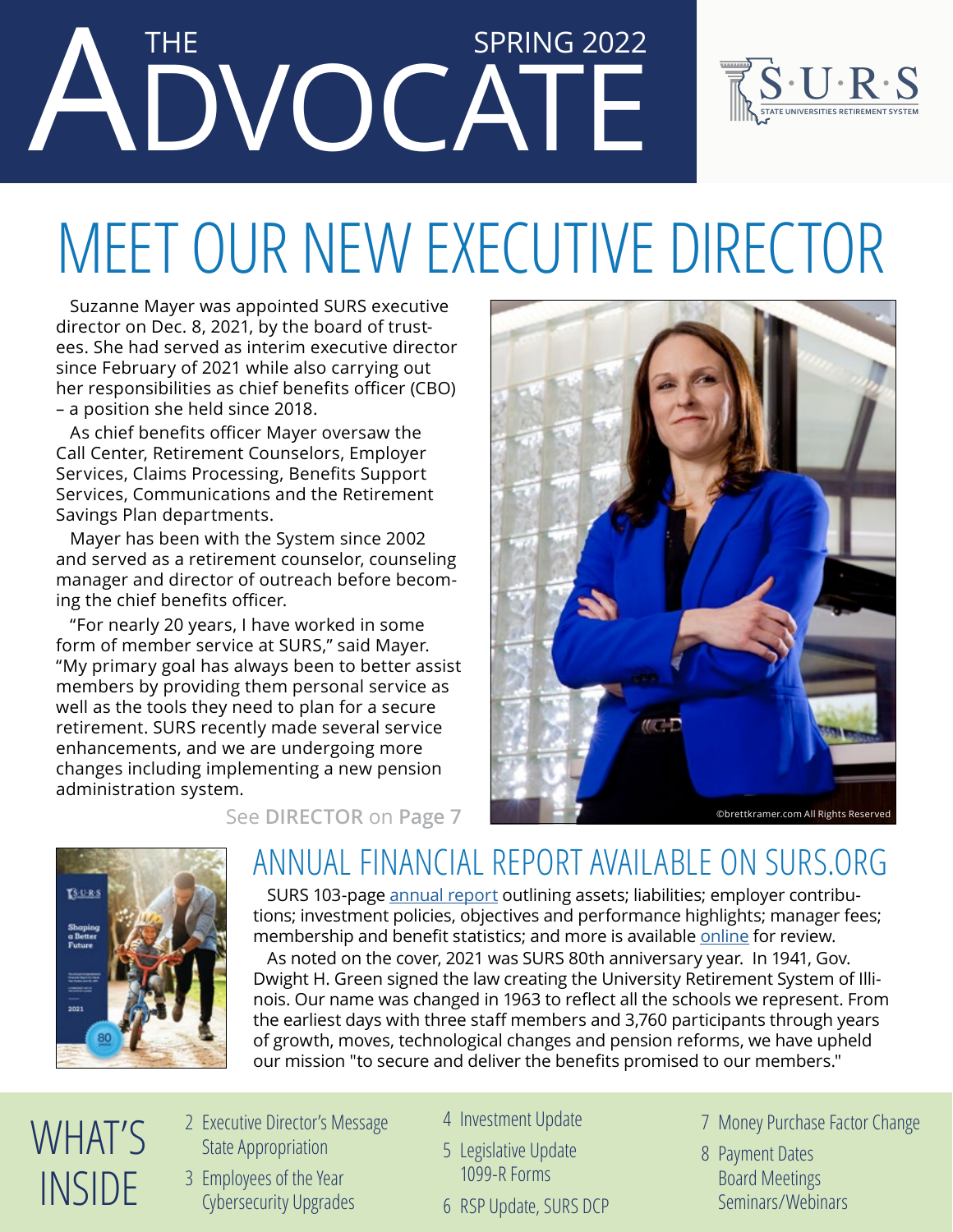## ADVOCATE THE SPRING 2022



# MEET OUR NEW EXECUTIVE DIRECTOR

Suzanne Mayer was appointed SURS executive director on Dec. 8, 2021, by the board of trustees. She had served as interim executive director since February of 2021 while also carrying out her responsibilities as chief benefits officer (CBO) – a position she held since 2018.

As chief benefits officer Mayer oversaw the Call Center, Retirement Counselors, Employer Services, Claims Processing, Benefits Support Services, Communications and the Retirement Savings Plan departments.

Mayer has been with the System since 2002 and served as a retirement counselor, counseling manager and director of outreach before becoming the chief benefits officer.

"For nearly 20 years, I have worked in some form of member service at SURS," said Mayer. "My primary goal has always been to better assist members by providing them personal service as well as the tools they need to plan for a secure retirement. SURS recently made several service enhancements, and we are undergoing more changes including implementing a new pension administration system.





### ANNUAL FINANCIAL REPORT AVAILABLE ON SURS.ORG

SURS 103-page [annual report](https://surs.org/.../publications/annual-financial-report/) outlining assets; liabilities; employer contributions; investment policies, objectives and performance highlights; manager fees; membership and benefit statistics; and more is available [online](https://surs.org/.../publications/annual-financial-report/) for review.

As noted on the cover, 2021 was SURS 80th anniversary year. In 1941, Gov. Dwight H. Green signed the law creating the University Retirement System of Illinois. Our name was changed in 1963 to reflect all the schools we represent. From the earliest days with three staff members and 3,760 participants through years of growth, moves, technological changes and pension reforms, we have upheld our mission "to secure and deliver the benefits promised to our members."

- WHAT'S INSIDE
- 2 Executive Director's Message State Appropriation
- 3 Employees of the Year Cybersecurity Upgrades
- 4 Investment Update
- 5 Legislative Update 1099-R Forms
- 1 6 RSP Update, SURS DCP
- 7 Money Purchase Factor Change
- 8 Payment Dates Board Meetings Seminars/Webinars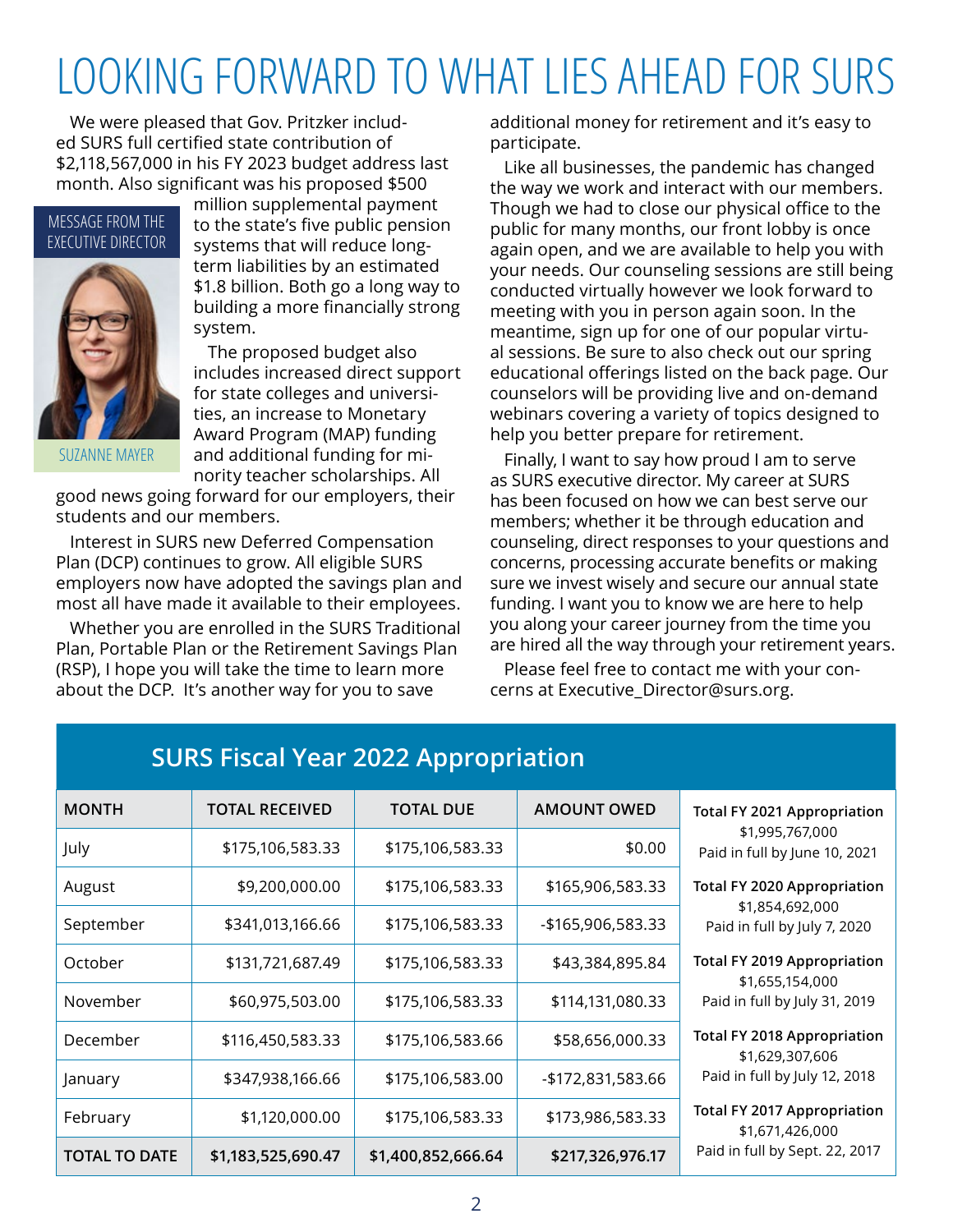## LOOKING FORWARD TO WHAT LIES AHEAD FOR SURS

We were pleased that Gov. Pritzker included SURS full certified state contribution of \$2,118,567,000 in his FY 2023 budget address last month. Also significant was his proposed \$500

#### MESSAGE FROM THE EXECUTIVE DIRECTOR



SUZANNE MAYER

million supplemental payment to the state's five public pension systems that will reduce longterm liabilities by an estimated \$1.8 billion. Both go a long way to building a more financially strong system.

The proposed budget also includes increased direct support for state colleges and universities, an increase to Monetary Award Program (MAP) funding and additional funding for minority teacher scholarships. All

good news going forward for our employers, their students and our members.

Interest in SURS new Deferred Compensation Plan (DCP) continues to grow. All eligible SURS employers now have adopted the savings plan and most all have made it available to their employees.

Whether you are enrolled in the SURS Traditional Plan, Portable Plan or the Retirement Savings Plan (RSP), I hope you will take the time to learn more about the DCP. It's another way for you to save

additional money for retirement and it's easy to participate.

Like all businesses, the pandemic has changed the way we work and interact with our members. Though we had to close our physical office to the public for many months, our front lobby is once again open, and we are available to help you with your needs. Our counseling sessions are still being conducted virtually however we look forward to meeting with you in person again soon. In the meantime, sign up for one of our popular virtual sessions. Be sure to also check out our spring educational offerings listed on the back page. Our counselors will be providing live and on-demand webinars covering a variety of topics designed to help you better prepare for retirement.

Finally, I want to say how proud I am to serve as SURS executive director. My career at SURS has been focused on how we can best serve our members; whether it be through education and counseling, direct responses to your questions and concerns, processing accurate benefits or making sure we invest wisely and secure our annual state funding. I want you to know we are here to help you along your career journey from the time you are hired all the way through your retirement years.

Please feel free to contact me with your concerns at Executive\_Director@surs.org.

| <b>MONTH</b>         | <b>TOTAL RECEIVED</b> | <b>TOTAL DUE</b>   | <b>AMOUNT OWED</b> | <b>Total FY 2021 Appropriation</b>                    |
|----------------------|-----------------------|--------------------|--------------------|-------------------------------------------------------|
| July                 | \$175,106,583.33      | \$175,106,583.33   | \$0.00             | \$1,995,767,000<br>Paid in full by June 10, 2021      |
| August               | \$9,200,000.00        | \$175,106,583.33   | \$165,906,583.33   | <b>Total FY 2020 Appropriation</b>                    |
| September            | \$341,013,166.66      | \$175,106,583.33   | -\$165,906,583.33  | \$1,854,692,000<br>Paid in full by July 7, 2020       |
| October              | \$131,721,687.49      | \$175,106,583.33   | \$43,384,895.84    | <b>Total FY 2019 Appropriation</b><br>\$1,655,154,000 |
| November             | \$60,975,503.00       | \$175,106,583.33   | \$114,131,080.33   | Paid in full by July 31, 2019                         |
| December             | \$116,450,583.33      | \$175,106,583.66   | \$58,656,000.33    | <b>Total FY 2018 Appropriation</b><br>\$1,629,307,606 |
| January              | \$347,938,166.66      | \$175,106,583.00   | -\$172,831,583.66  | Paid in full by July 12, 2018                         |
| February             | \$1,120,000.00        | \$175,106,583.33   | \$173,986,583.33   | <b>Total FY 2017 Appropriation</b><br>\$1,671,426,000 |
| <b>TOTAL TO DATE</b> | \$1,183,525,690.47    | \$1,400,852,666.64 | \$217,326,976.17   | Paid in full by Sept. 22, 2017                        |

### **SURS Fiscal Year 2022 Appropriation**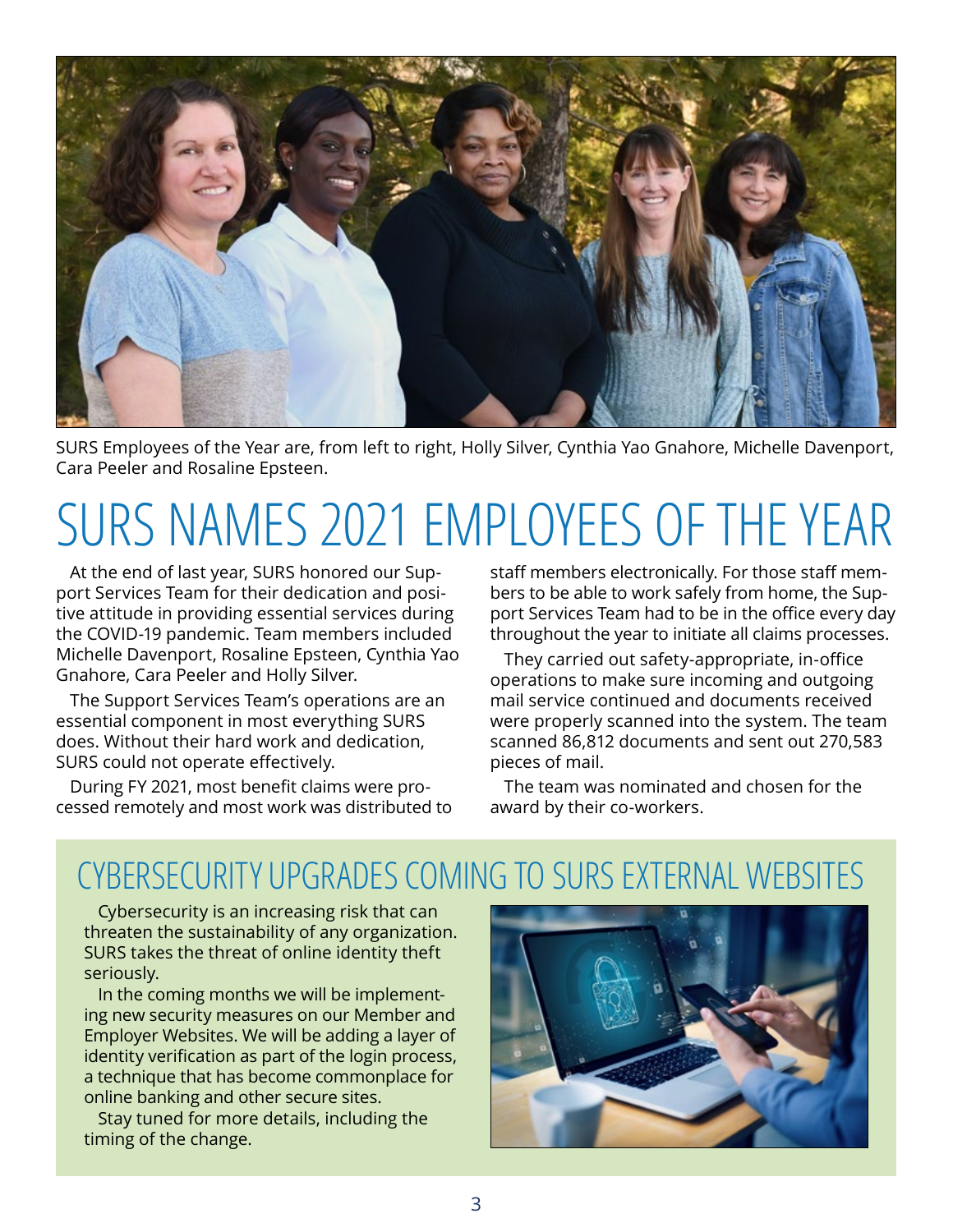

SURS Employees of the Year are, from left to right, Holly Silver, Cynthia Yao Gnahore, Michelle Davenport, Cara Peeler and Rosaline Epsteen.

# SURS NAMES 2021 EMPLOYEES OF THE YEAR

At the end of last year, SURS honored our Support Services Team for their dedication and positive attitude in providing essential services during the COVID-19 pandemic. Team members included Michelle Davenport, Rosaline Epsteen, Cynthia Yao Gnahore, Cara Peeler and Holly Silver.

The Support Services Team's operations are an essential component in most everything SURS does. Without their hard work and dedication, SURS could not operate effectively.

During FY 2021, most benefit claims were processed remotely and most work was distributed to staff members electronically. For those staff members to be able to work safely from home, the Support Services Team had to be in the office every day throughout the year to initiate all claims processes.

They carried out safety-appropriate, in-office operations to make sure incoming and outgoing mail service continued and documents received were properly scanned into the system. The team scanned 86,812 documents and sent out 270,583 pieces of mail.

The team was nominated and chosen for the award by their co-workers.

### CYBERSECURITY UPGRADES COMING TO SURS EXTERNAL WEBSITES

Cybersecurity is an increasing risk that can threaten the sustainability of any organization. SURS takes the threat of online identity theft seriously.

In the coming months we will be implementing new security measures on our Member and Employer Websites. We will be adding a layer of identity verification as part of the login process, a technique that has become commonplace for online banking and other secure sites.

Stay tuned for more details, including the timing of the change.

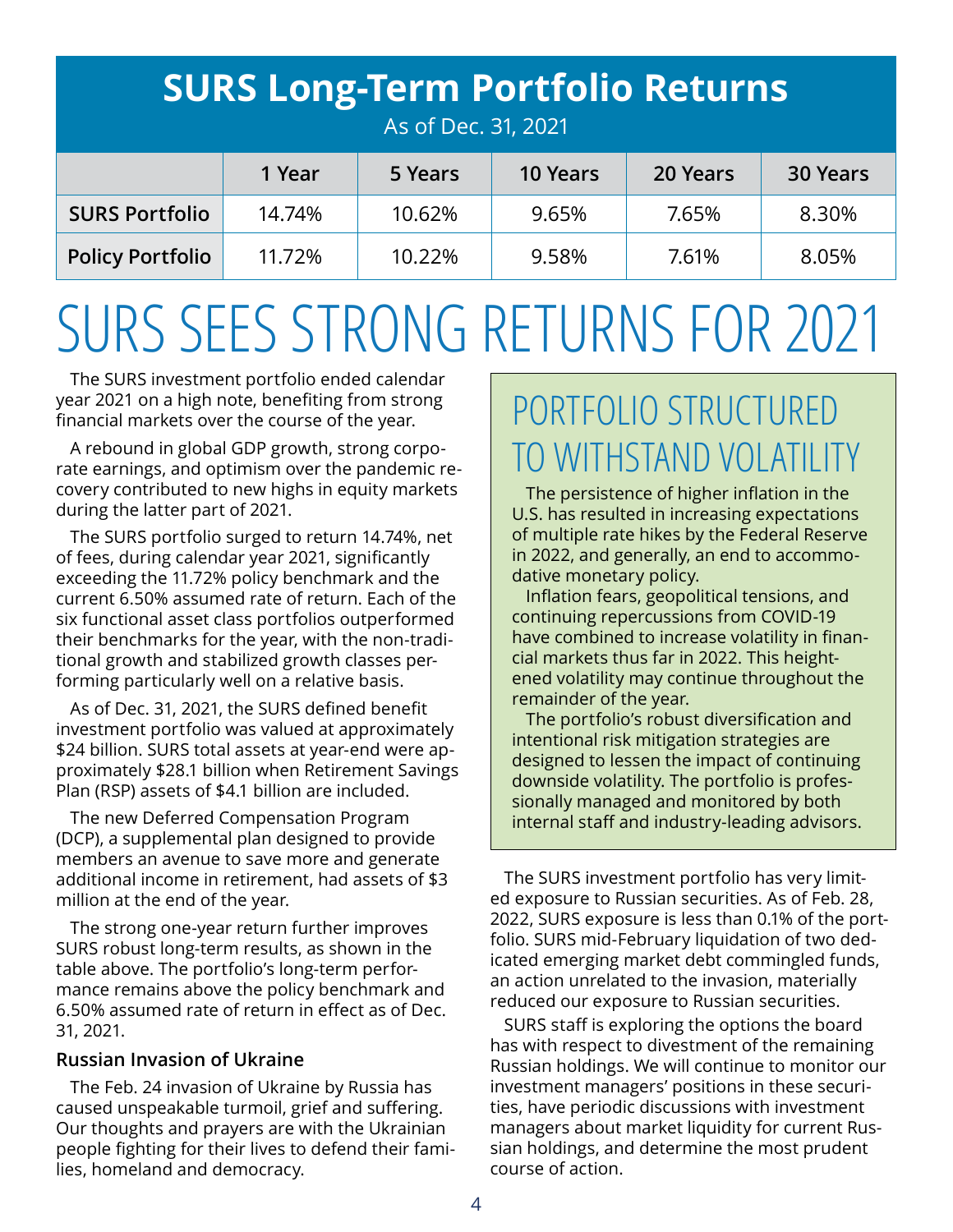| <b>SURS Long-Term Portfolio Returns</b><br>As of Dec. 31, 2021 |        |         |                 |          |                 |  |  |
|----------------------------------------------------------------|--------|---------|-----------------|----------|-----------------|--|--|
|                                                                | 1 Year | 5 Years | <b>10 Years</b> | 20 Years | <b>30 Years</b> |  |  |
| <b>SURS Portfolio</b>                                          | 14.74% | 10.62%  | 9.65%           | 7.65%    | 8.30%           |  |  |
| <b>Policy Portfolio</b>                                        | 11.72% | 10.22%  | 9.58%           | 7.61%    | 8.05%           |  |  |

# SURS SEES STRONG RETURNS FOR 2021

The SURS investment portfolio ended calendar year 2021 on a high note, benefiting from strong financial markets over the course of the year.

A rebound in global GDP growth, strong corporate earnings, and optimism over the pandemic recovery contributed to new highs in equity markets during the latter part of 2021.

The SURS portfolio surged to return 14.74%, net of fees, during calendar year 2021, significantly exceeding the 11.72% policy benchmark and the current 6.50% assumed rate of return. Each of the six functional asset class portfolios outperformed their benchmarks for the year, with the non-traditional growth and stabilized growth classes performing particularly well on a relative basis.

As of Dec. 31, 2021, the SURS defined benefit investment portfolio was valued at approximately \$24 billion. SURS total assets at year-end were approximately \$28.1 billion when Retirement Savings Plan (RSP) assets of \$4.1 billion are included.

The new Deferred Compensation Program (DCP), a supplemental plan designed to provide members an avenue to save more and generate additional income in retirement, had assets of \$3 million at the end of the year.

The strong one-year return further improves SURS robust long-term results, as shown in the table above. The portfolio's long-term performance remains above the policy benchmark and 6.50% assumed rate of return in effect as of Dec. 31, 2021.

### **Russian Invasion of Ukraine**

The Feb. 24 invasion of Ukraine by Russia has caused unspeakable turmoil, grief and suffering. Our thoughts and prayers are with the Ukrainian people fighting for their lives to defend their families, homeland and democracy.

## PORTFOLIO STRUCTURED TO WITHSTAND VOLATILITY

The persistence of higher inflation in the U.S. has resulted in increasing expectations of multiple rate hikes by the Federal Reserve in 2022, and generally, an end to accommodative monetary policy.

Inflation fears, geopolitical tensions, and continuing repercussions from COVID-19 have combined to increase volatility in financial markets thus far in 2022. This heightened volatility may continue throughout the remainder of the year.

The portfolio's robust diversification and intentional risk mitigation strategies are designed to lessen the impact of continuing downside volatility. The portfolio is professionally managed and monitored by both internal staff and industry-leading advisors.

The SURS investment portfolio has very limited exposure to Russian securities. As of Feb. 28, 2022, SURS exposure is less than 0.1% of the portfolio. SURS mid-February liquidation of two dedicated emerging market debt commingled funds, an action unrelated to the invasion, materially reduced our exposure to Russian securities.

SURS staff is exploring the options the board has with respect to divestment of the remaining Russian holdings. We will continue to monitor our investment managers' positions in these securities, have periodic discussions with investment managers about market liquidity for current Russian holdings, and determine the most prudent course of action.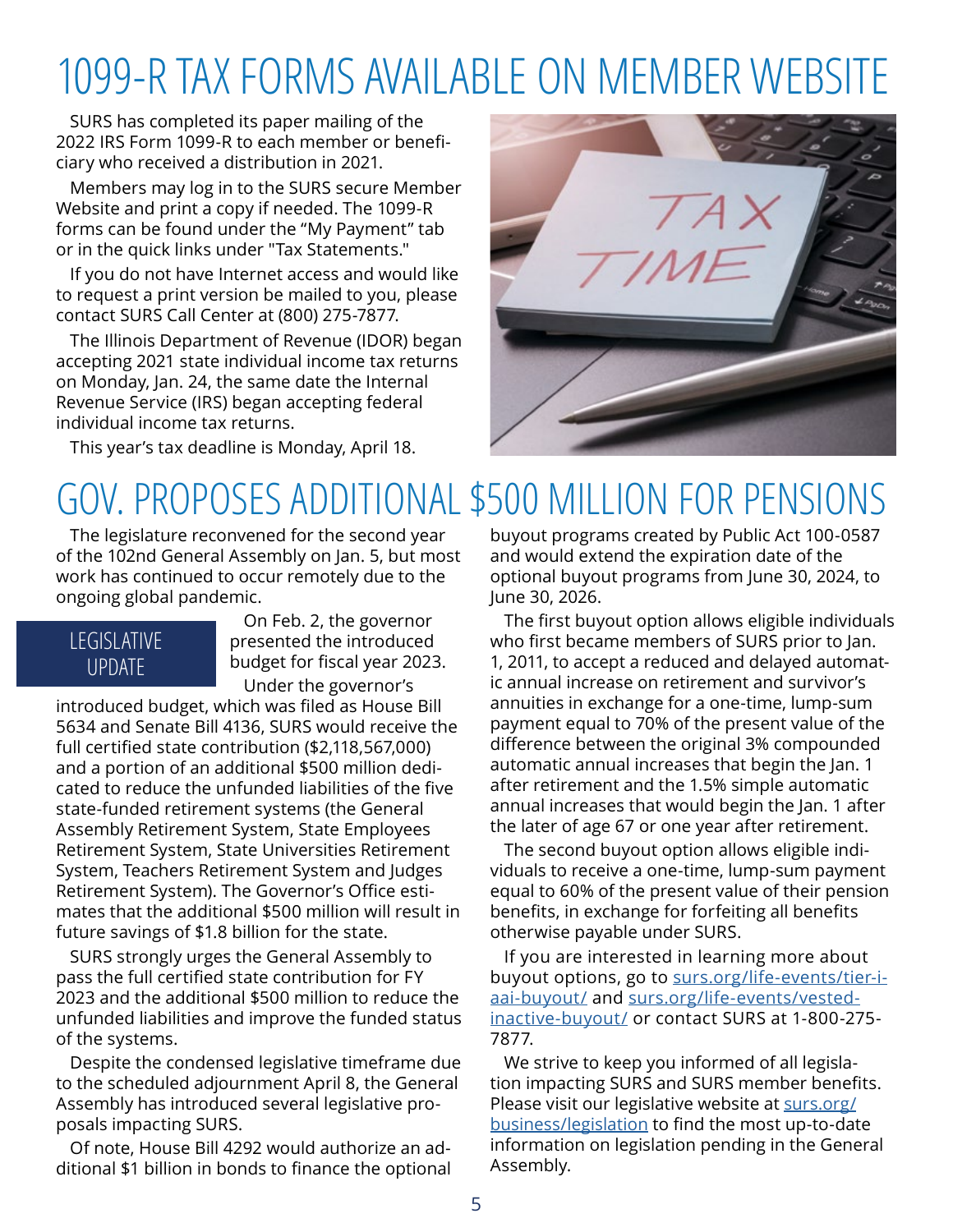## 1099-R TAX FORMS AVAILABLE ON MEMBER WEBSITE

SURS has completed its paper mailing of the 2022 IRS Form 1099-R to each member or beneficiary who received a distribution in 2021.

Members may log in to the SURS secure Member Website and print a copy if needed. The 1099-R forms can be found under the "My Payment" tab or in the quick links under "Tax Statements."

If you do not have Internet access and would like to request a print version be mailed to you, please contact SURS Call Center at (800) 275-7877.

The Illinois Department of Revenue (IDOR) began accepting 2021 state individual income tax returns on Monday, Jan. 24, the same date the Internal Revenue Service (IRS) began accepting federal individual income tax returns.

This year's tax deadline is Monday, April 18.

## GOV. PROPOSES ADDITIONAL \$500 MILLION FOR PENSIONS

The legislature reconvened for the second year of the 102nd General Assembly on Jan. 5, but most work has continued to occur remotely due to the ongoing global pandemic.

### LEGISLATIVE UPDATE

On Feb. 2, the governor presented the introduced budget for fiscal year 2023. Under the governor's

introduced budget, which was filed as House Bill 5634 and Senate Bill 4136, SURS would receive the full certified state contribution (\$2,118,567,000) and a portion of an additional \$500 million dedicated to reduce the unfunded liabilities of the five state-funded retirement systems (the General Assembly Retirement System, State Employees Retirement System, State Universities Retirement System, Teachers Retirement System and Judges Retirement System). The Governor's Office estimates that the additional \$500 million will result in future savings of \$1.8 billion for the state.

SURS strongly urges the General Assembly to pass the full certified state contribution for FY 2023 and the additional \$500 million to reduce the unfunded liabilities and improve the funded status of the systems.

Despite the condensed legislative timeframe due to the scheduled adjournment April 8, the General Assembly has introduced several legislative proposals impacting SURS.

Of note, House Bill 4292 would authorize an additional \$1 billion in bonds to finance the optional



The first buyout option allows eligible individuals who first became members of SURS prior to Jan. 1, 2011, to accept a reduced and delayed automatic annual increase on retirement and survivor's annuities in exchange for a one-time, lump-sum payment equal to 70% of the present value of the difference between the original 3% compounded automatic annual increases that begin the Jan. 1 after retirement and the 1.5% simple automatic annual increases that would begin the Jan. 1 after the later of age 67 or one year after retirement.

The second buyout option allows eligible individuals to receive a one-time, lump-sum payment equal to 60% of the present value of their pension benefits, in exchange for forfeiting all benefits otherwise payable under SURS.

If you are interested in learning more about buyout options, go to [surs.org/life-events/tier-i](https://surs.org/life-events/tier-i-aai-buyout/)[aai-buyout/](https://surs.org/life-events/tier-i-aai-buyout/) and [surs.org/life-events/vested](https://surs.org/life-events/vested-inactive-buyout/)[inactive-buyout/](https://surs.org/life-events/vested-inactive-buyout/) or contact SURS at 1-800-275- 7877.

We strive to keep you informed of all legislation impacting SURS and SURS member benefits. Please visit our legislative website at [surs.org/](https://surs.org/business/legislation) [business/legislation](https://surs.org/business/legislation) to find the most up-to-date information on legislation pending in the General Assembly.

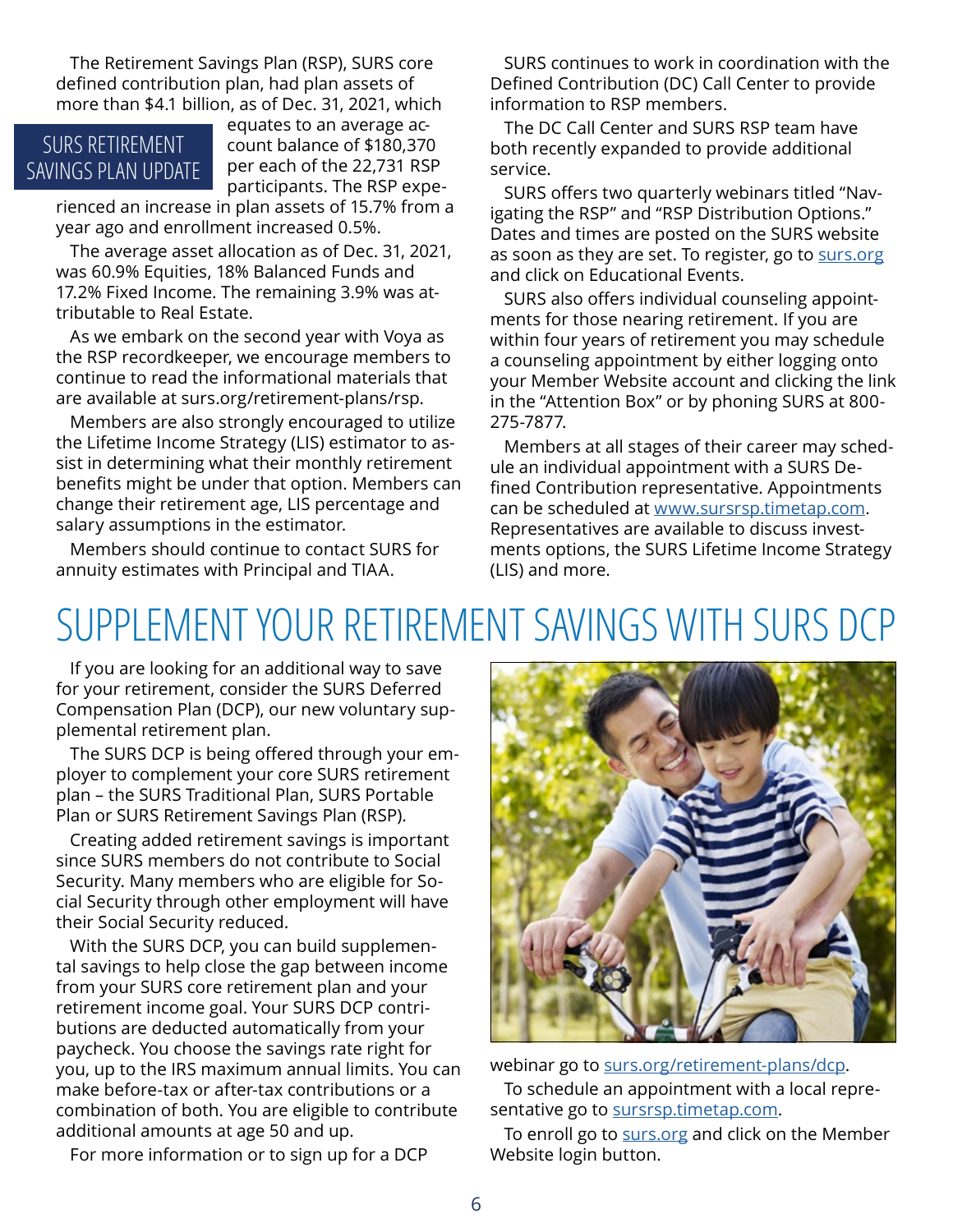The Retirement Savings Plan (RSP), SURS core defined contribution plan, had plan assets of more than \$4.1 billion, as of Dec. 31, 2021, which

### SURS RETIREMENT SAVINGS PLAN UPDATE

equates to an average account balance of \$180,370 per each of the 22,731 RSP participants. The RSP expe-

rienced an increase in plan assets of 15.7% from a year ago and enrollment increased 0.5%.

The average asset allocation as of Dec. 31, 2021, was 60.9% Equities, 18% Balanced Funds and 17.2% Fixed Income. The remaining 3.9% was attributable to Real Estate.

As we embark on the second year with Voya as the RSP recordkeeper, we encourage members to continue to read the informational materials that are available at surs.org/retirement-plans/rsp.

Members are also strongly encouraged to utilize the Lifetime Income Strategy (LIS) estimator to assist in determining what their monthly retirement benefits might be under that option. Members can change their retirement age, LIS percentage and salary assumptions in the estimator.

Members should continue to contact SURS for annuity estimates with Principal and TIAA.

SURS continues to work in coordination with the Defined Contribution (DC) Call Center to provide information to RSP members.

The DC Call Center and SURS RSP team have both recently expanded to provide additional service.

SURS offers two quarterly webinars titled "Navigating the RSP" and "RSP Distribution Options." Dates and times are posted on the SURS website as soon as they are set. To register, go to [surs.org](http://surs.org) and click on Educational Events.

SURS also offers individual counseling appointments for those nearing retirement. If you are within four years of retirement you may schedule a counseling appointment by either logging onto your Member Website account and clicking the link in the "Attention Box" or by phoning SURS at 800- 275-7877.

Members at all stages of their career may schedule an individual appointment with a SURS Defined Contribution representative. Appointments can be scheduled at [www.sursrsp.timetap.com](http://www.sursrsp.timetap.com). Representatives are available to discuss investments options, the SURS Lifetime Income Strategy (LIS) and more.

## SUPPLEMENT YOUR RETIREMENT SAVINGS WITH SURS DCP

If you are looking for an additional way to save for your retirement, consider the SURS Deferred Compensation Plan (DCP), our new voluntary supplemental retirement plan.

The SURS DCP is being offered through your employer to complement your core SURS retirement plan – the SURS Traditional Plan, SURS Portable Plan or SURS Retirement Savings Plan (RSP).

Creating added retirement savings is important since SURS members do not contribute to Social Security. Many members who are eligible for Social Security through other employment will have their Social Security reduced.

With the SURS DCP, you can build supplemental savings to help close the gap between income from your SURS core retirement plan and your retirement income goal. Your SURS DCP contributions are deducted automatically from your paycheck. You choose the savings rate right for you, up to the IRS maximum annual limits. You can make before-tax or after-tax contributions or a combination of both. You are eligible to contribute additional amounts at age 50 and up.

For more information or to sign up for a DCP



webinar go to [surs.org/retirement-plans/dcp](http://surs.org/retirement-plans/dcp). To schedule an appointment with a local representative go to [sursrsp.timetap.com](http://sursrsp.timetap.com).

To enroll go to [surs.org](http://surs.org) and click on the Member Website login button.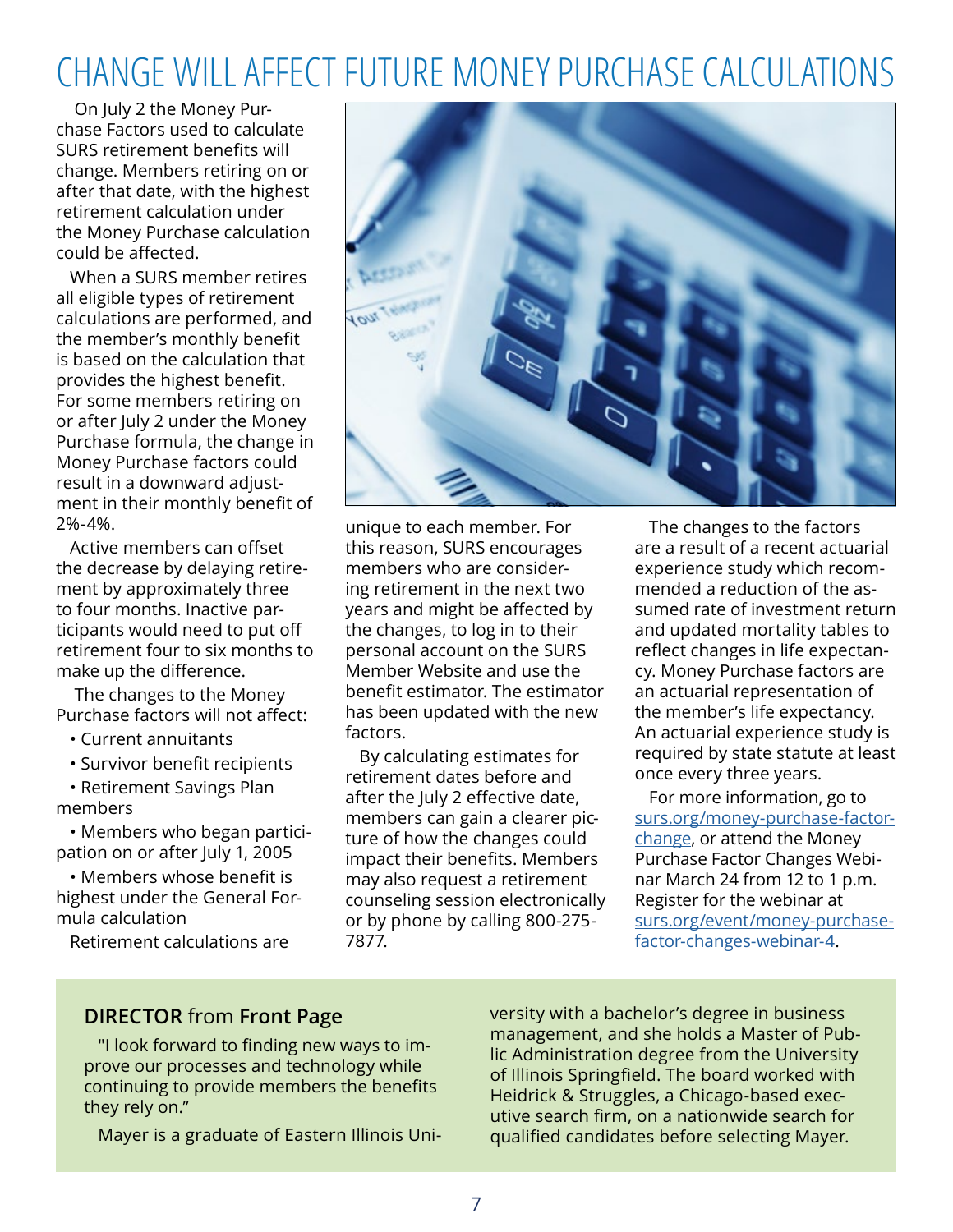### CHANGE WILL AFFECT FUTURE MONEY PURCHASE CALCULATIONS

 On July 2 the Money Purchase Factors used to calculate SURS retirement benefits will change. Members retiring on or after that date, with the highest retirement calculation under the Money Purchase calculation could be affected.

When a SURS member retires all eligible types of retirement calculations are performed, and the member's monthly benefit is based on the calculation that provides the highest benefit. For some members retiring on or after July 2 under the Money Purchase formula, the change in Money Purchase factors could result in a downward adjustment in their monthly benefit of 2%-4%.

Active members can offset the decrease by delaying retirement by approximately three to four months. Inactive participants would need to put off retirement four to six months to make up the difference.

 The changes to the Money Purchase factors will not affect:

- Current annuitants
- Survivor benefit recipients
- Retirement Savings Plan members

• Members who began participation on or after July 1, 2005

• Members whose benefit is highest under the General Formula calculation

Retirement calculations are



unique to each member. For this reason, SURS encourages members who are considering retirement in the next two years and might be affected by the changes, to log in to their personal account on the SURS Member Website and use the benefit estimator. The estimator has been updated with the new factors.

By calculating estimates for retirement dates before and after the July 2 effective date, members can gain a clearer picture of how the changes could impact their benefits. Members may also request a retirement counseling session electronically or by phone by calling 800-275- 7877.

The changes to the factors are a result of a recent actuarial experience study which recommended a reduction of the assumed rate of investment return and updated mortality tables to reflect changes in life expectancy. Money Purchase factors are an actuarial representation of the member's life expectancy. An actuarial experience study is required by state statute at least once every three years.

For more information, go to [surs.org/money-purchase-factor](https://surs.org/money-purchase-factor-change/)[change](https://surs.org/money-purchase-factor-change/), or attend the Money Purchase Factor Changes Webinar March 24 from 12 to 1 p.m. Register for the webinar at [surs.org/event/money-purchase](https://surs.org/event/money-purchase-factor-changes-webinar-4/)[factor-changes-webinar-4.](https://surs.org/event/money-purchase-factor-changes-webinar-4/)

### **DIRECTOR** from **Front Page**

"I look forward to finding new ways to improve our processes and technology while continuing to provide members the benefits they rely on."

Mayer is a graduate of Eastern Illinois Uni-

versity with a bachelor's degree in business management, and she holds a Master of Public Administration degree from the University of Illinois Springfield. The board worked with Heidrick & Struggles, a Chicago-based executive search firm, on a nationwide search for qualified candidates before selecting Mayer.